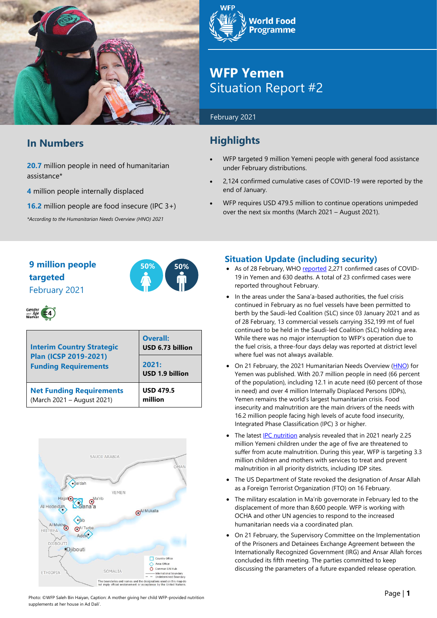

## **In Numbers**

**20.7** million people in need of humanitarian assistance\*

**4** million people internally displaced

**16.2** million people are food insecure (IPC 3+)

*\*According to the Humanitarian Needs Overview (HNO) 2021*



## **WFP Yemen** Situation Report #2

#### February 2021

## **Highlights**

- WFP targeted 9 million Yemeni people with general food assistance under February distributions.
- 2,124 confirmed cumulative cases of COVID-19 were reported by the end of January.
- WFP requires USD 479.5 million to continue operations unimpeded over the next six months (March 2021 – August 2021).

## **9 million people 50% 50% targeted** February 2021



# Gender<br>and Age  $\left( -4 \right)$

| <b>Interim Country Strategic</b><br><b>Plan (ICSP 2019-2021)</b><br><b>Funding Requirements</b> | <b>Overall:</b><br>USD 6.73 billion |  |  |
|-------------------------------------------------------------------------------------------------|-------------------------------------|--|--|
|                                                                                                 | 2021:<br>USD 1.9 billion            |  |  |
| <b>Net Funding Requirements</b><br>(March 2021 - August 2021)                                   | <b>USD 479.5</b><br>million         |  |  |



## **Situation Update (including security)**

- As of 28 February, WH[O reported](https://app.powerbi.com/view?r=eyJrIjoiZjE2NzJjZDItNDgyZi00NDFkLWFlMjItNjA2MjIwMWYzODJkIiwidCI6ImY2MTBjMGI3LWJkMjQtNGIzOS04MTBiLTNkYzI4MGFmYjU5MCIsImMiOjh9) 2,271 confirmed cases of COVID-19 in Yemen and 630 deaths. A total of 23 confirmed cases were reported throughout February.
- In the areas under the Sana'a-based authorities, the fuel crisis continued in February as no fuel vessels have been permitted to berth by the Saudi-led Coalition (SLC) since 03 January 2021 and as of 28 February, 13 commercial vessels carrying 352,199 mt of fuel continued to be held in the Saudi-led Coalition (SLC) holding area. While there was no major interruption to WFP's operation due to the fuel crisis, a three-four days delay was reported at district level where fuel was not always available.
- On 21 February, the 2021 Humanitarian Needs Overview [\(HNO\)](https://reliefweb.int/report/yemen/yemen-humanitarian-needs-overview-2021-february-2021) for Yemen was published. With 20.7 million people in need (66 percent of the population), including 12.1 in acute need (60 percent of those in need) and over 4 million Internally Displaced Persons (IDPs), Yemen remains the world's largest humanitarian crisis. Food insecurity and malnutrition are the main drivers of the needs with 16.2 million people facing high levels of acute food insecurity, Integrated Phase Classification (IPC) 3 or higher.
- The latest **IPC** nutrition analysis revealed that in 2021 nearly 2.25 million Yemeni children under the age of five are threatened to suffer from acute malnutrition. During this year, WFP is targeting 3.3 million children and mothers with services to treat and prevent malnutrition in all priority districts, including IDP sites.
- The US Department of State revoked the designation of Ansar Allah as a Foreign Terrorist Organization (FTO) on 16 February.
- The military escalation in Ma'rib governorate in February led to the displacement of more than 8,600 people. WFP is working with OCHA and other UN agencies to respond to the increased humanitarian needs via a coordinated plan.
- On 21 February, the Supervisory Committee on the Implementation of the Prisoners and Detainees Exchange Agreement between the Internationally Recognized Government (IRG) and Ansar Allah forces concluded its fifth meeting. The parties committed to keep discussing the parameters of a future expanded release operation.

Photo: ©WFP Saleh Bin Haiyan, Caption: A mother giving her child WFP-provided nutrition supplements at her house in Ad Dali'.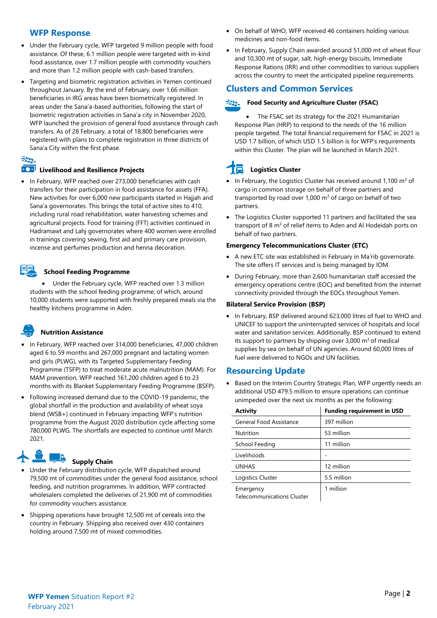#### **WFP Response**

- Under the February cycle, WFP targeted 9 million people with food assistance. Of these, 6.1 million people were targeted with in-kind food assistance, over 1.7 million people with commodity vouchers and more than 1.2 million people with cash-based transfers.
- Targeting and biometric registration activities in Yemen continued throughout January. By the end of February, over 1.66 million beneficiaries in IRG areas have been biometrically registered. In areas under the Sana'a-based authorities, following the start of biometric registration activities in Sana'a city in November 2020, WFP launched the provision of general food assistance through cash transfers. As of 28 February, a total of 18,800 beneficiaries were registered with plans to complete registration in three districts of Sana'a City within the first phase.

#### $z_{22}$

#### **100 Livelihood and Resilience Projects**

• In February, WFP reached over 273,000 beneficiaries with cash transfers for their participation in food assistance for assets (FFA). New activities for over 6,000 new participants started in Hajjah and Sana'a governorates. This brings the total of active sites to 410, including rural road rehabilitation, water harvesting schemes and agricultural projects. Food for training (FFT) activities continued in Hadramawt and Lahj governorates where 400 women were enrolled in trainings covering sewing, first aid and primary care provision, incense and perfumes production and henna decoration.

#### **School Feeding Programme**

• Under the February cycle, WFP reached over 1.3 million students with the school feeding programme; of which, around 10,000 students were supported with freshly prepared meals via the healthy kitchens programme in Aden.

## **Nutrition Assistance**

- In February, WFP reached over 314,000 beneficiaries, 47,000 children aged 6 to 59 months and 267,000 pregnant and lactating women and girls (PLWG), with its Targeted Supplementary Feeding Programme (TSFP) to treat moderate acute malnutrition (MAM). For MAM prevention, WFP reached 161,200 children aged 6 to 23 months with its Blanket Supplementary Feeding Programme (BSFP).
- Following increased demand due to the COVID-19 pandemic, the global shortfall in the production and availability of wheat soya blend (WSB+) continued in February impacting WFP's nutrition programme from the August 2020 distribution cycle affecting some 780,000 PLWG. The shortfalls are expected to continue until March 2021.

#### Ja **Supply Chain**

- Under the February distribution cycle, WFP dispatched around 79,500 mt of commodities under the general food assistance, school feeding, and nutrition programmes. In addition, WFP contracted wholesalers completed the deliveries of 21,900 mt of commodities for commodity vouchers assistance.
- Shipping operations have brought 12,500 mt of cereals into the country in February. Shipping also received over 430 containers holding around 7,500 mt of mixed commodities.
- On behalf of WHO, WFP received 46 containers holding various medicines and non-food items.
- In February, Supply Chain awarded around 51,000 mt of wheat flour and 10,300 mt of sugar, salt, high-energy biscuits, Immediate Response Rations (IRR) and other commodities to various suppliers across the country to meet the anticipated pipeline requirements.

## **Clusters and Common Services**

#### $\approx$ **Food Security and Agriculture Cluster (FSAC)**

• The FSAC set its strategy for the 2021 Humanitarian Response Plan (HRP) to respond to the needs of the 16 million people targeted. The total financial requirement for FSAC in 2021 is USD 1.7 billion, of which USD 1.5 billion is for WFP's requirements within this Cluster. The plan will be launched in March 2021.

## **Logistics Cluster**

- In February, the Logistics Cluster has received around 1,100  $m<sup>3</sup>$  of cargo in common storage on behalf of three partners and transported by road over 1,000  $m<sup>3</sup>$  of cargo on behalf of two partners.
- The Logistics Cluster supported 11 partners and facilitated the sea transport of 8 m<sup>3</sup> of relief items to Aden and Al Hodeidah ports on behalf of two partners.

#### **Emergency Telecommunications Cluster (ETC)**

- A new ETC site was established in February in Ma'rib governorate. The site offers IT services and is being managed by IOM.
- During February, more than 2,600 humanitarian staff accessed the emergency operations centre (EOC) and benefited from the internet connectivity provided through the EOCs throughout Yemen.

#### **Bilateral Service Provision (BSP)**

• In February, BSP delivered around 623,000 litres of fuel to WHO and UNICEF to support the uninterrupted services of hospitals and local water and sanitation services. Additionally, BSP continued to extend its support to partners by shipping over  $3,000$  m<sup>3</sup> of medical supplies by sea on behalf of UN agencies. Around 60,000 litres of fuel were delivered to NGOs and UN facilities.

## **Resourcing Update**

• Based on the Interim Country Strategic Plan, WFP urgently needs an additional USD 479.5 million to ensure operations can continue unimpeded over the next six months as per the following:

| Activity                                       | <b>Funding requirement in USD</b> |
|------------------------------------------------|-----------------------------------|
| General Food Assistance                        | 397 million                       |
| Nutrition                                      | 53 million                        |
| School Feeding                                 | 11 million                        |
| Livelihoods                                    |                                   |
| <b>UNHAS</b>                                   | 12 million                        |
| Logistics Cluster                              | 5.5 million                       |
| Emergency<br><b>Telecommunications Cluster</b> | 1 million                         |